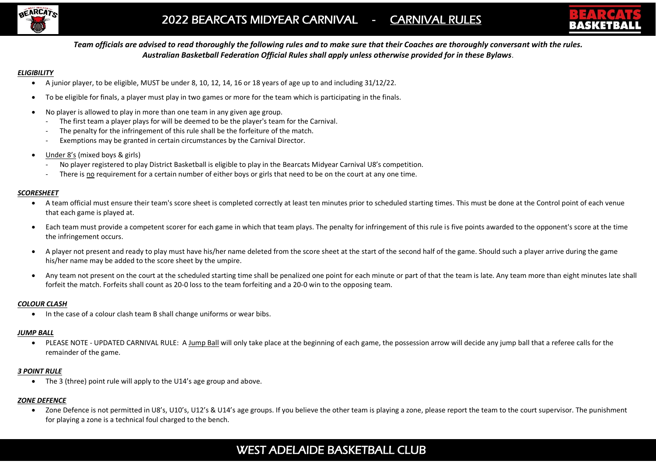



*Team officials are advised to read thoroughly the following rules and to make sure that their Coaches are thoroughly conversant with the rules. Australian Basketball Federation Official Rules shall apply unless otherwise provided for in these Bylaws*.

#### *ELIGIBILITY*

- A junior player, to be eligible, MUST be under 8, 10, 12, 14, 16 or 18 years of age up to and including 31/12/22.
- To be eligible for finals, a player must play in two games or more for the team which is participating in the finals.
- No player is allowed to play in more than one team in any given age group.
	- The first team a player plays for will be deemed to be the player's team for the Carnival.
	- The penalty for the infringement of this rule shall be the forfeiture of the match.
	- Exemptions may be granted in certain circumstances by the Carnival Director.
- Under 8's (mixed boys & girls)
	- No player registered to play District Basketball is eligible to play in the Bearcats Midyear Carnival U8's competition.
	- There is no requirement for a certain number of either boys or girls that need to be on the court at any one time.

#### *SCORESHEET*

- A team official must ensure their team's score sheet is completed correctly at least ten minutes prior to scheduled starting times. This must be done at the Control point of each venue that each game is played at.
- Each team must provide a competent scorer for each game in which that team plays. The penalty for infringement of this rule is five points awarded to the opponent's score at the time the infringement occurs.
- A player not present and ready to play must have his/her name deleted from the score sheet at the start of the second half of the game. Should such a player arrive during the game his/her name may be added to the score sheet by the umpire.
- Any team not present on the court at the scheduled starting time shall be penalized one point for each minute or part of that the team is late. Any team more than eight minutes late shall forfeit the match. Forfeits shall count as 20-0 loss to the team forfeiting and a 20-0 win to the opposing team.

# *COLOUR CLASH*

• In the case of a colour clash team B shall change uniforms or wear bibs.

# *JUMP BALL*

• PLEASE NOTE - UPDATED CARNIVAL RULE: A Jump Ball will only take place at the beginning of each game, the possession arrow will decide any jump ball that a referee calls for the remainder of the game.

# *3 POINT RULE*

• The 3 (three) point rule will apply to the U14's age group and above.

# *ZONE DEFENCE*

• Zone Defence is not permitted in U8's, U10's, U12's & U14's age groups. If you believe the other team is playing a zone, please report the team to the court supervisor. The punishment for playing a zone is a technical foul charged to the bench.

# WEST ADELAIDE BASKETBALL CLUB